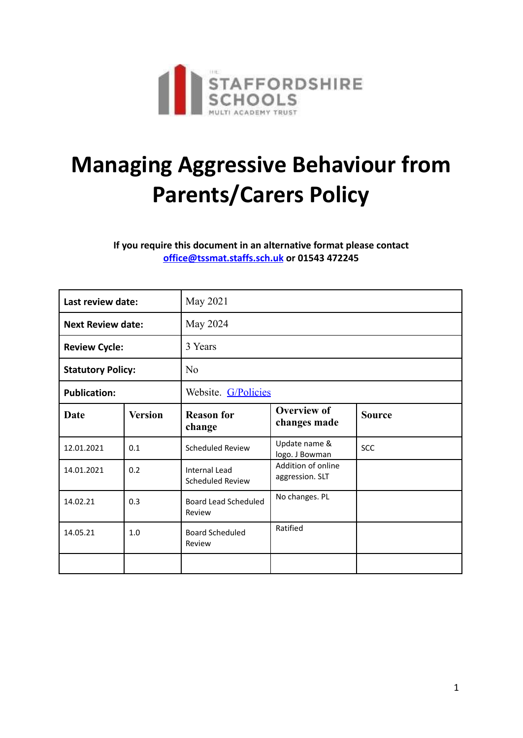

## **Managing Aggressive Behaviour from Parents/Carers Policy**

**If you require this document in an alternative format please contact [office@tssmat.staffs.sch.uk](mailto:office@tssmat.staffs.sch.uk) or 01543 472245**

| Last review date:        |                | May 2021                                 |                                       |               |
|--------------------------|----------------|------------------------------------------|---------------------------------------|---------------|
| <b>Next Review date:</b> |                | May 2024                                 |                                       |               |
| <b>Review Cycle:</b>     |                | 3 Years                                  |                                       |               |
| <b>Statutory Policy:</b> |                | N <sub>o</sub>                           |                                       |               |
| <b>Publication:</b>      |                | Website. G/Policies                      |                                       |               |
| Date                     | <b>Version</b> | <b>Reason for</b><br>change              | <b>Overview of</b><br>changes made    | <b>Source</b> |
| 12.01.2021               | 0.1            | Scheduled Review                         | Update name &<br>logo. J Bowman       | <b>SCC</b>    |
| 14.01.2021               | 0.2            | Internal Lead<br><b>Scheduled Review</b> | Addition of online<br>aggression. SLT |               |
| 14.02.21                 | 0.3            | Board Lead Scheduled<br>Review           | No changes. PL                        |               |
| 14.05.21                 | 1.0            | <b>Board Scheduled</b><br>Review         | Ratified                              |               |
|                          |                |                                          |                                       |               |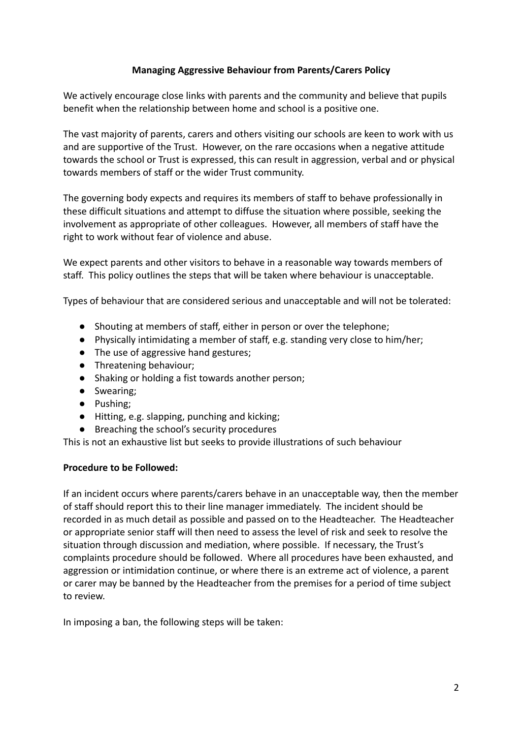## **Managing Aggressive Behaviour from Parents/Carers Policy**

We actively encourage close links with parents and the community and believe that pupils benefit when the relationship between home and school is a positive one.

The vast majority of parents, carers and others visiting our schools are keen to work with us and are supportive of the Trust. However, on the rare occasions when a negative attitude towards the school or Trust is expressed, this can result in aggression, verbal and or physical towards members of staff or the wider Trust community.

The governing body expects and requires its members of staff to behave professionally in these difficult situations and attempt to diffuse the situation where possible, seeking the involvement as appropriate of other colleagues. However, all members of staff have the right to work without fear of violence and abuse.

We expect parents and other visitors to behave in a reasonable way towards members of staff. This policy outlines the steps that will be taken where behaviour is unacceptable.

Types of behaviour that are considered serious and unacceptable and will not be tolerated:

- Shouting at members of staff, either in person or over the telephone;
- Physically intimidating a member of staff, e.g. standing very close to him/her;
- The use of aggressive hand gestures;
- Threatening behaviour;
- Shaking or holding a fist towards another person;
- Swearing;
- Pushing;
- Hitting, e.g. slapping, punching and kicking;
- Breaching the school's security procedures

This is not an exhaustive list but seeks to provide illustrations of such behaviour

## **Procedure to be Followed:**

If an incident occurs where parents/carers behave in an unacceptable way, then the member of staff should report this to their line manager immediately. The incident should be recorded in as much detail as possible and passed on to the Headteacher. The Headteacher or appropriate senior staff will then need to assess the level of risk and seek to resolve the situation through discussion and mediation, where possible. If necessary, the Trust's complaints procedure should be followed. Where all procedures have been exhausted, and aggression or intimidation continue, or where there is an extreme act of violence, a parent or carer may be banned by the Headteacher from the premises for a period of time subject to review.

In imposing a ban, the following steps will be taken: